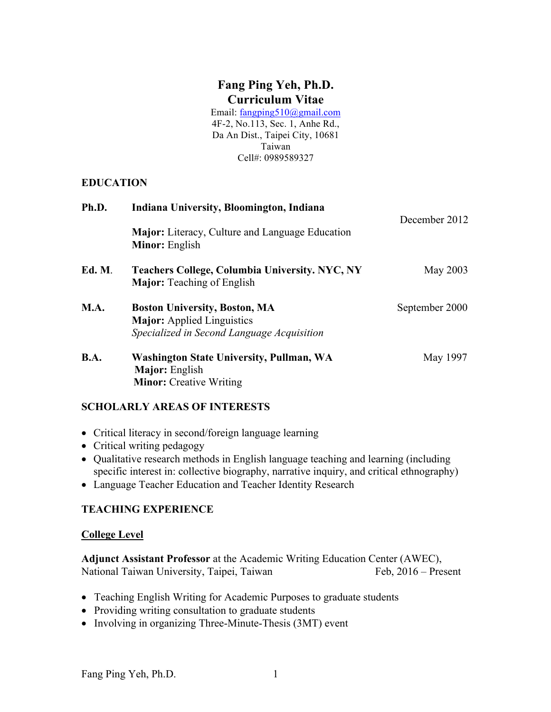# **Fang Ping Yeh, Ph.D. Curriculum Vitae**

Email: fangping510@gmail.com 4F-2, No.113, Sec. 1, Anhe Rd., Da An Dist., Taipei City, 10681 Taiwan Cell#: 0989589327

# **EDUCATION**

| Ph.D.       | Indiana University, Bloomington, Indiana                                                                                | December 2012  |
|-------------|-------------------------------------------------------------------------------------------------------------------------|----------------|
|             | <b>Major:</b> Literacy, Culture and Language Education<br><b>Minor:</b> English                                         |                |
| Ed. M.      | <b>Teachers College, Columbia University. NYC, NY</b><br><b>Major:</b> Teaching of English                              | May 2003       |
| <b>M.A.</b> | <b>Boston University, Boston, MA</b><br><b>Major:</b> Applied Linguistics<br>Specialized in Second Language Acquisition | September 2000 |
| <b>B.A.</b> | <b>Washington State University, Pullman, WA</b><br><b>Major:</b> English<br><b>Minor:</b> Creative Writing              | May 1997       |

# **SCHOLARLY AREAS OF INTERESTS**

- Critical literacy in second/foreign language learning
- Critical writing pedagogy
- Qualitative research methods in English language teaching and learning (including specific interest in: collective biography, narrative inquiry, and critical ethnography)
- Language Teacher Education and Teacher Identity Research

# **TEACHING EXPERIENCE**

#### **College Level**

**Adjunct Assistant Professor** at the Academic Writing Education Center (AWEC), National Taiwan University, Taipei, Taiwan Feb, 2016 – Present

- Teaching English Writing for Academic Purposes to graduate students
- Providing writing consultation to graduate students
- Involving in organizing Three-Minute-Thesis (3MT) event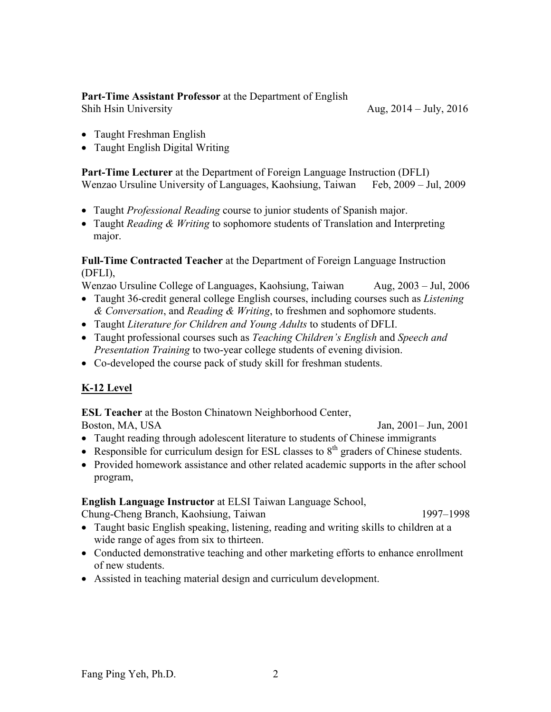#### **Part-Time Assistant Professor** at the Department of English Shih Hsin University Aug, 2014 – July, 2016

- Taught Freshman English
- Taught English Digital Writing

**Part-Time Lecturer** at the Department of Foreign Language Instruction (DFLI) Wenzao Ursuline University of Languages, Kaohsiung, Taiwan Feb, 2009 – Jul, 2009

- Taught *Professional Reading* course to junior students of Spanish major.
- Taught *Reading & Writing* to sophomore students of Translation and Interpreting major.

**Full-Time Contracted Teacher** at the Department of Foreign Language Instruction (DFLI),

Wenzao Ursuline College of Languages, Kaohsiung, Taiwan Aug, 2003 – Jul, 2006

- Taught 36-credit general college English courses, including courses such as *Listening & Conversation*, and *Reading & Writing*, to freshmen and sophomore students.
- Taught *Literature for Children and Young Adults* to students of DFLI.
- Taught professional courses such as *Teaching Children's English* and *Speech and Presentation Training* to two-year college students of evening division.
- Co-developed the course pack of study skill for freshman students.

# **K-12 Level**

**ESL Teacher** at the Boston Chinatown Neighborhood Center,

Boston, MA, USA Jan, 2001– Jun, 2001

- Taught reading through adolescent literature to students of Chinese immigrants
- Responsible for curriculum design for ESL classes to  $8<sup>th</sup>$  graders of Chinese students.
- Provided homework assistance and other related academic supports in the after school program,

# **English Language Instructor** at ELSI Taiwan Language School,

Chung-Cheng Branch, Kaohsiung, Taiwan 1997–1998

- Taught basic English speaking, listening, reading and writing skills to children at a wide range of ages from six to thirteen.
- Conducted demonstrative teaching and other marketing efforts to enhance enrollment of new students.
- Assisted in teaching material design and curriculum development.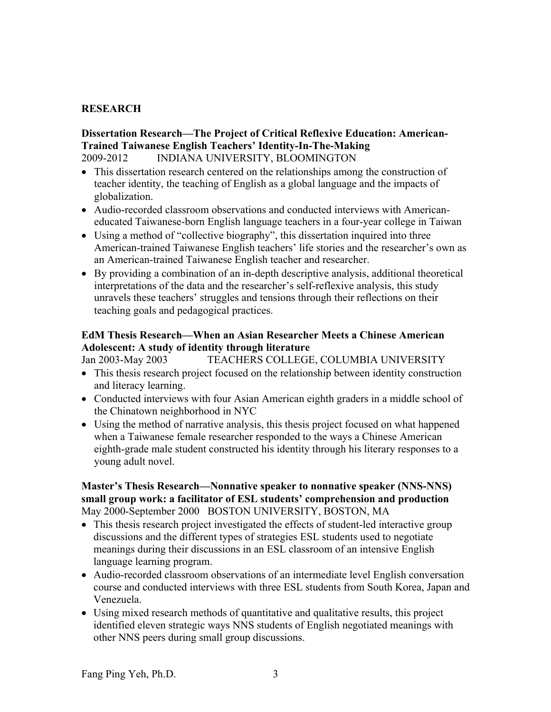# **RESEARCH**

#### **Dissertation Research—The Project of Critical Reflexive Education: American-Trained Taiwanese English Teachers' Identity-In-The-Making**  2009-2012 INDIANA UNIVERSITY, BLOOMINGTON

- This dissertation research centered on the relationships among the construction of teacher identity, the teaching of English as a global language and the impacts of globalization.
- Audio-recorded classroom observations and conducted interviews with Americaneducated Taiwanese-born English language teachers in a four-year college in Taiwan
- Using a method of "collective biography", this dissertation inquired into three American-trained Taiwanese English teachers' life stories and the researcher's own as an American-trained Taiwanese English teacher and researcher.
- By providing a combination of an in-depth descriptive analysis, additional theoretical interpretations of the data and the researcher's self-reflexive analysis, this study unravels these teachers' struggles and tensions through their reflections on their teaching goals and pedagogical practices.

# **EdM Thesis Research—When an Asian Researcher Meets a Chinese American Adolescent: A study of identity through literature**

Jan 2003-May 2003 TEACHERS COLLEGE, COLUMBIA UNIVERSITY

- This thesis research project focused on the relationship between identity construction and literacy learning.
- Conducted interviews with four Asian American eighth graders in a middle school of the Chinatown neighborhood in NYC
- Using the method of narrative analysis, this thesis project focused on what happened when a Taiwanese female researcher responded to the ways a Chinese American eighth-grade male student constructed his identity through his literary responses to a young adult novel.

#### **Master's Thesis Research—Nonnative speaker to nonnative speaker (NNS-NNS) small group work: a facilitator of ESL students' comprehension and production** May 2000-September 2000 BOSTON UNIVERSITY, BOSTON, MA

- This thesis research project investigated the effects of student-led interactive group discussions and the different types of strategies ESL students used to negotiate meanings during their discussions in an ESL classroom of an intensive English language learning program.
- Audio-recorded classroom observations of an intermediate level English conversation course and conducted interviews with three ESL students from South Korea, Japan and Venezuela.
- Using mixed research methods of quantitative and qualitative results, this project identified eleven strategic ways NNS students of English negotiated meanings with other NNS peers during small group discussions.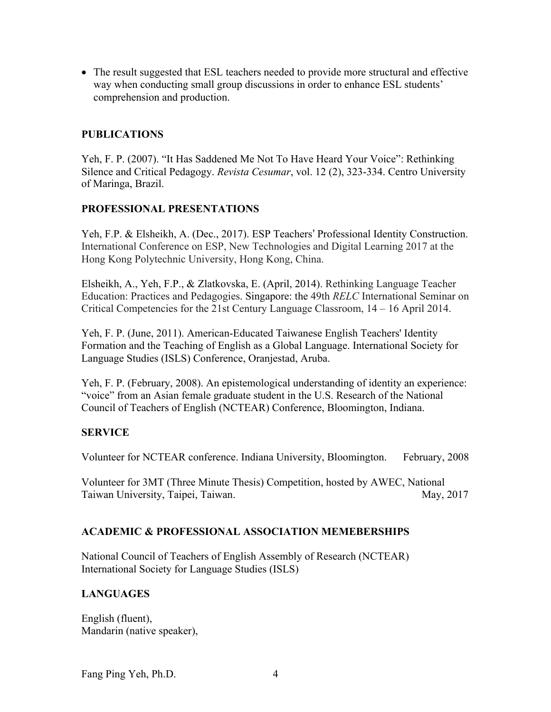• The result suggested that ESL teachers needed to provide more structural and effective way when conducting small group discussions in order to enhance ESL students' comprehension and production.

# **PUBLICATIONS**

Yeh, F. P. (2007). "It Has Saddened Me Not To Have Heard Your Voice": Rethinking Silence and Critical Pedagogy. *Revista Cesumar*, vol. 12 (2), 323-334. Centro University of Maringa, Brazil.

#### **PROFESSIONAL PRESENTATIONS**

Yeh, F.P. & Elsheikh, A. (Dec., 2017). ESP Teachers' Professional Identity Construction. International Conference on ESP, New Technologies and Digital Learning 2017 at the Hong Kong Polytechnic University, Hong Kong, China.

Elsheikh, A., Yeh, F.P., & Zlatkovska, E. (April, 2014). Rethinking Language Teacher Education: Practices and Pedagogies. Singapore: the 49th *RELC* International Seminar on Critical Competencies for the 21st Century Language Classroom, 14 – 16 April 2014.

Yeh, F. P. (June, 2011). American-Educated Taiwanese English Teachers' Identity Formation and the Teaching of English as a Global Language. International Society for Language Studies (ISLS) Conference, Oranjestad, Aruba.

Yeh, F. P. (February, 2008). An epistemological understanding of identity an experience: "voice" from an Asian female graduate student in the U.S. Research of the National Council of Teachers of English (NCTEAR) Conference, Bloomington, Indiana.

# **SERVICE**

Volunteer for NCTEAR conference. Indiana University, Bloomington. February, 2008

Volunteer for 3MT (Three Minute Thesis) Competition, hosted by AWEC, National Taiwan University, Taipei, Taiwan. May, 2017

# **ACADEMIC & PROFESSIONAL ASSOCIATION MEMEBERSHIPS**

National Council of Teachers of English Assembly of Research (NCTEAR) International Society for Language Studies (ISLS)

# **LANGUAGES**

English (fluent), Mandarin (native speaker),